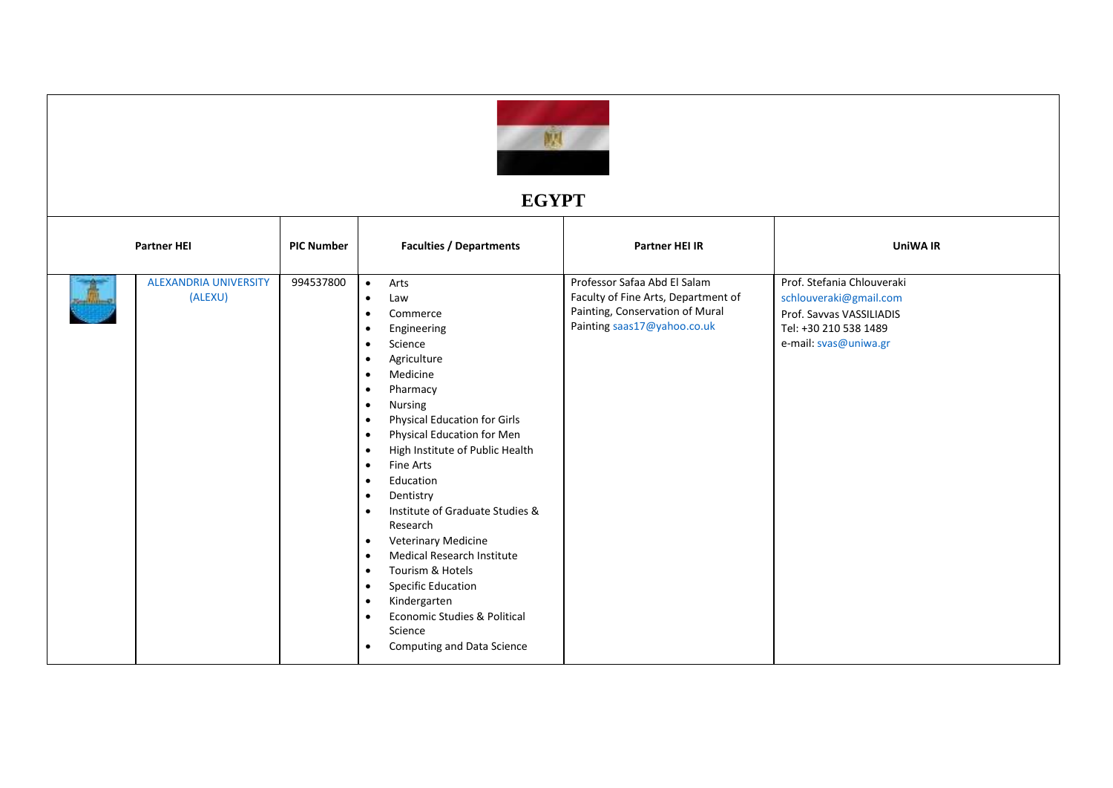

## **EGYPT**

| <b>Partner HEI</b>                      | <b>PIC Number</b> | <b>Faculties / Departments</b>                                                                                                                                                                                                                                                                                                                                                                                                                                                                                                                                                                                                                                                                                                                                                                              | <b>Partner HEI IR</b>                                                                                                                 | <b>UniWA IR</b>                                                                                                                    |
|-----------------------------------------|-------------------|-------------------------------------------------------------------------------------------------------------------------------------------------------------------------------------------------------------------------------------------------------------------------------------------------------------------------------------------------------------------------------------------------------------------------------------------------------------------------------------------------------------------------------------------------------------------------------------------------------------------------------------------------------------------------------------------------------------------------------------------------------------------------------------------------------------|---------------------------------------------------------------------------------------------------------------------------------------|------------------------------------------------------------------------------------------------------------------------------------|
| <b>ALEXANDRIA UNIVERSITY</b><br>(ALEXU) | 994537800         | Arts<br>$\bullet$<br>Law<br>$\bullet$<br>Commerce<br>$\bullet$<br>Engineering<br>$\bullet$<br>Science<br>$\bullet$<br>Agriculture<br>$\bullet$<br>Medicine<br>$\bullet$<br>Pharmacy<br>$\bullet$<br>Nursing<br>$\bullet$<br><b>Physical Education for Girls</b><br>$\bullet$<br>Physical Education for Men<br>$\bullet$<br>High Institute of Public Health<br>$\bullet$<br>Fine Arts<br>$\bullet$<br>Education<br>$\bullet$<br>Dentistry<br>$\bullet$<br>Institute of Graduate Studies &<br>$\bullet$<br>Research<br>Veterinary Medicine<br>$\bullet$<br>Medical Research Institute<br>$\bullet$<br>Tourism & Hotels<br>$\bullet$<br><b>Specific Education</b><br>$\bullet$<br>Kindergarten<br>$\bullet$<br>Economic Studies & Political<br>$\bullet$<br>Science<br>Computing and Data Science<br>$\bullet$ | Professor Safaa Abd El Salam<br>Faculty of Fine Arts, Department of<br>Painting, Conservation of Mural<br>Painting saas17@yahoo.co.uk | Prof. Stefania Chlouveraki<br>schlouveraki@gmail.com<br>Prof. Sayyas VASSILIADIS<br>Tel: +30 210 538 1489<br>e-mail: svas@uniwa.gr |